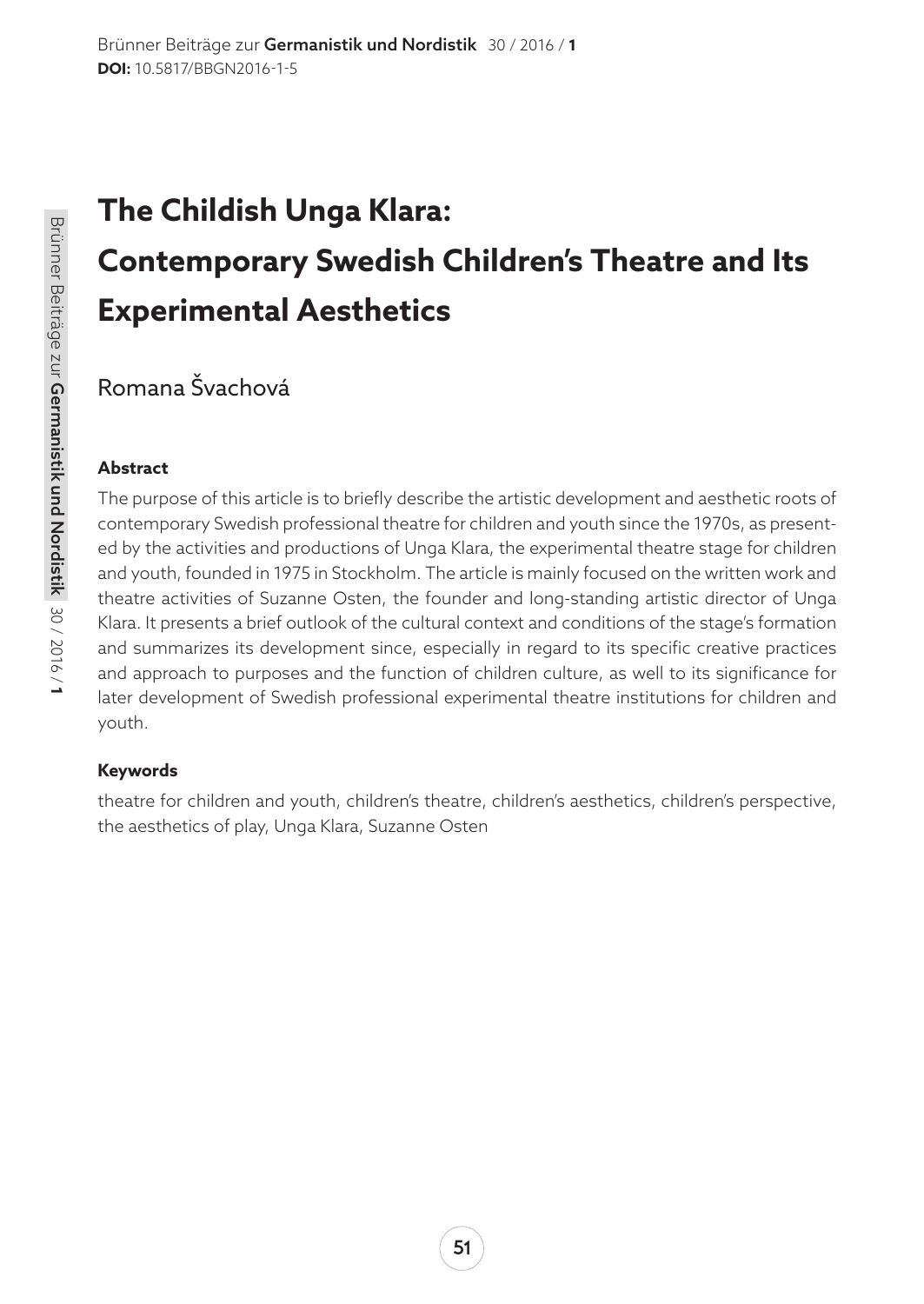# **The Childish Unga Klara: Contemporary Swedish Children's Theatre and Its Experimental Aesthetics**

Romana Švachová

#### **Abstract**

The purpose of this article is to briefly describe the artistic development and aesthetic roots of contemporary Swedish professional theatre for children and youth since the 1970s, as presented by the activities and productions of Unga Klara, the experimental theatre stage for children and youth, founded in 1975 in Stockholm. The article is mainly focused on the written work and theatre activities of Suzanne Osten, the founder and long-standing artistic director of Unga Klara. It presents a brief outlook of the cultural context and conditions of the stage's formation and summarizes its development since, especially in regard to its specific creative practices and approach to purposes and the function of children culture, as well to its significance for later development of Swedish professional experimental theatre institutions for children and youth.

#### **Keywords**

theatre for children and youth, children's theatre, children's aesthetics, children's perspective, the aesthetics of play, Unga Klara, Suzanne Osten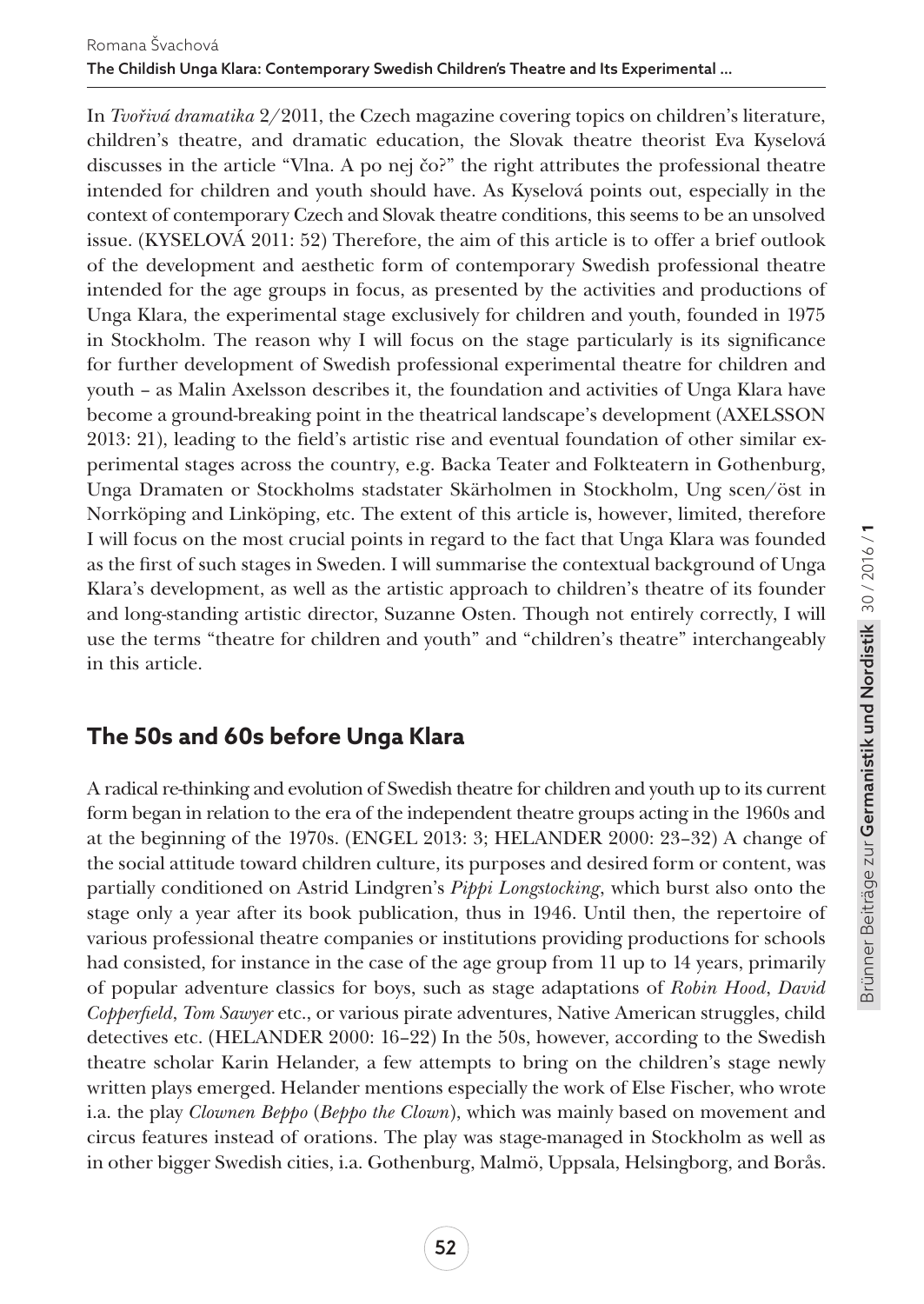In *Tvořivá dramatika* 2/2011, the Czech magazine covering topics on children's literature, children's theatre, and dramatic education, the Slovak theatre theorist Eva Kyselová discusses in the article "Vlna. A po nej čo?" the right attributes the professional theatre intended for children and youth should have. As Kyselová points out, especially in the context of contemporary Czech and Slovak theatre conditions, this seems to be an unsolved issue. (KYSELOVÁ 2011: 52) Therefore, the aim of this article is to offer a brief outlook of the development and aesthetic form of contemporary Swedish professional theatre intended for the age groups in focus, as presented by the activities and productions of Unga Klara, the experimental stage exclusively for children and youth, founded in 1975 in Stockholm. The reason why I will focus on the stage particularly is its significance for further development of Swedish professional experimental theatre for children and youth – as Malin Axelsson describes it, the foundation and activities of Unga Klara have become a ground-breaking point in the theatrical landscape's development (AXELSSON 2013: 21), leading to the field's artistic rise and eventual foundation of other similar experimental stages across the country, e.g. Backa Teater and Folkteatern in Gothenburg, Unga Dramaten or Stockholms stadstater Skärholmen in Stockholm, Ung scen/öst in Norrköping and Linköping, etc. The extent of this article is, however, limited, therefore I will focus on the most crucial points in regard to the fact that Unga Klara was founded as the first of such stages in Sweden. I will summarise the contextual background of Unga Klara's development, as well as the artistic approach to children's theatre of its founder and long-standing artistic director, Suzanne Osten. Though not entirely correctly, I will use the terms "theatre for children and youth" and "children's theatre" interchangeably in this article.

## **The 50s and 60s before Unga Klara**

A radical re-thinking and evolution of Swedish theatre for children and youth up to its current form began in relation to the era of the independent theatre groups acting in the 1960s and at the beginning of the 1970s. (ENGEL 2013: 3; HELANDER 2000: 23–32) A change of the social attitude toward children culture, its purposes and desired form or content, was partially conditioned on Astrid Lindgren's *Pippi Longstocking*, which burst also onto the stage only a year after its book publication, thus in 1946. Until then, the repertoire of various professional theatre companies or institutions providing productions for schools had consisted, for instance in the case of the age group from 11 up to 14 years, primarily of popular adventure classics for boys, such as stage adaptations of *Robin Hood*, *David Copperfield*, *Tom Sawyer* etc., or various pirate adventures, Native American struggles, child detectives etc. (HELANDER 2000: 16–22) In the 50s, however, according to the Swedish theatre scholar Karin Helander, a few attempts to bring on the children's stage newly written plays emerged. Helander mentions especially the work of Else Fischer, who wrote i.a. the play *Clownen Beppo* (*Beppo the Clown*), which was mainly based on movement and circus features instead of orations. The play was stage-managed in Stockholm as well as in other bigger Swedish cities, i.a. Gothenburg, Malmö, Uppsala, Helsingborg, and Borås.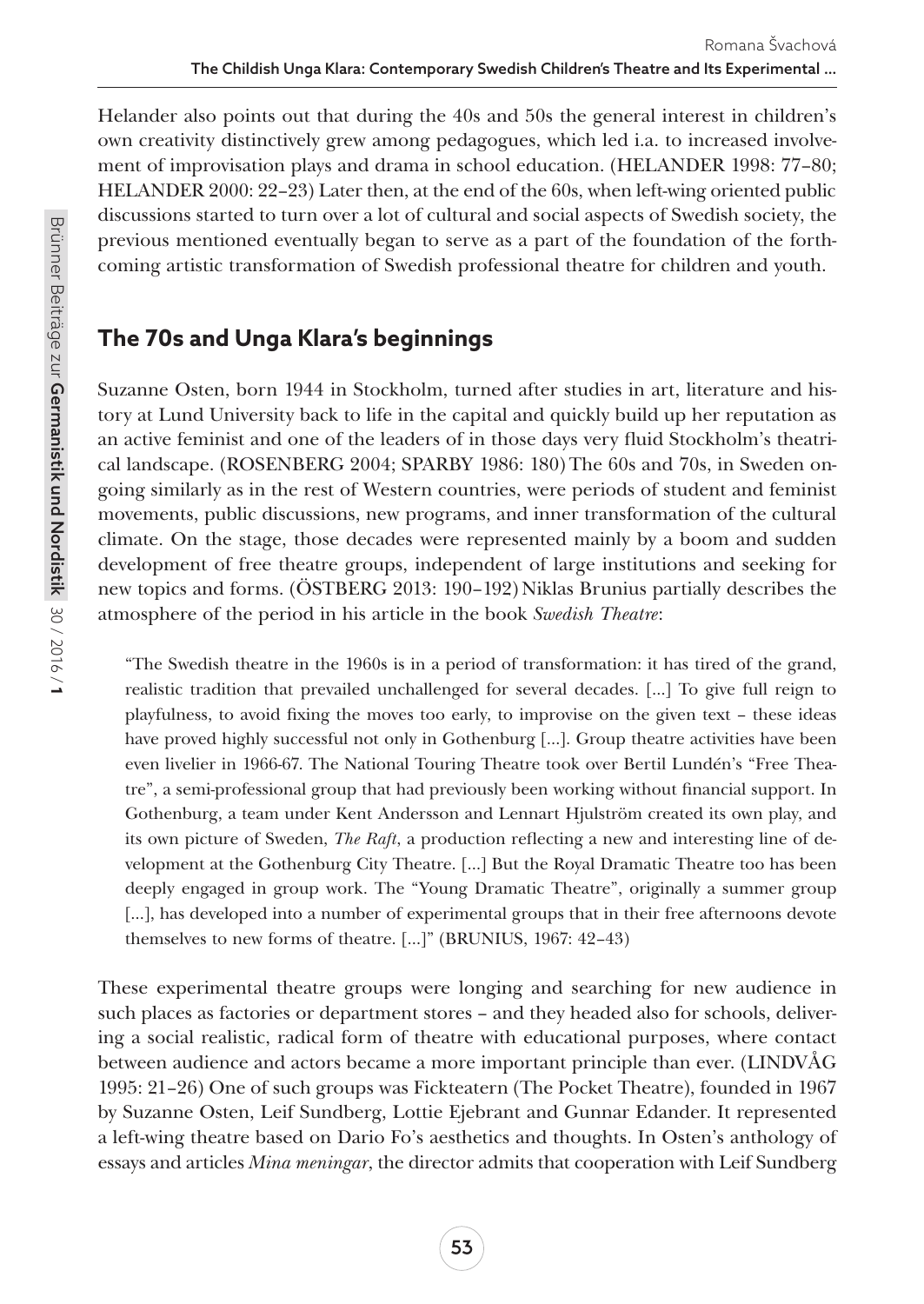Helander also points out that during the 40s and 50s the general interest in children's own creativity distinctively grew among pedagogues, which led i.a. to increased involvement of improvisation plays and drama in school education. (HELANDER 1998: 77–80; HELANDER 2000: 22–23) Later then, at the end of the 60s, when left-wing oriented public discussions started to turn over a lot of cultural and social aspects of Swedish society, the previous mentioned eventually began to serve as a part of the foundation of the forthcoming artistic transformation of Swedish professional theatre for children and youth.

## **The 70s and Unga Klara's beginnings**

Suzanne Osten, born 1944 in Stockholm, turned after studies in art, literature and history at Lund University back to life in the capital and quickly build up her reputation as an active feminist and one of the leaders of in those days very fluid Stockholm's theatrical landscape. (ROSENBERG 2004; SPARBY 1986: 180) The 60s and 70s, in Sweden ongoing similarly as in the rest of Western countries, were periods of student and feminist movements, public discussions, new programs, and inner transformation of the cultural climate. On the stage, those decades were represented mainly by a boom and sudden development of free theatre groups, independent of large institutions and seeking for new topics and forms. (ÖSTBERG 2013: 190–192) Niklas Brunius partially describes the atmosphere of the period in his article in the book *Swedish Theatre*:

"The Swedish theatre in the 1960s is in a period of transformation: it has tired of the grand, realistic tradition that prevailed unchallenged for several decades. […] To give full reign to playfulness, to avoid fixing the moves too early, to improvise on the given text – these ideas have proved highly successful not only in Gothenburg [...]. Group theatre activities have been even livelier in 1966-67. The National Touring Theatre took over Bertil Lundén's "Free Theatre", a semi-professional group that had previously been working without financial support. In Gothenburg, a team under Kent Andersson and Lennart Hjulström created its own play, and its own picture of Sweden, *The Raft*, a production reflecting a new and interesting line of development at the Gothenburg City Theatre. […] But the Royal Dramatic Theatre too has been deeply engaged in group work. The "Young Dramatic Theatre", originally a summer group [...], has developed into a number of experimental groups that in their free afternoons devote themselves to new forms of theatre. […]" (BRUNIUS, 1967: 42–43)

These experimental theatre groups were longing and searching for new audience in such places as factories or department stores – and they headed also for schools, delivering a social realistic, radical form of theatre with educational purposes, where contact between audience and actors became a more important principle than ever. (LINDVÅG 1995: 21–26) One of such groups was Fickteatern (The Pocket Theatre), founded in 1967 by Suzanne Osten, Leif Sundberg, Lottie Ejebrant and Gunnar Edander. It represented a left-wing theatre based on Dario Fo's aesthetics and thoughts. In Osten's anthology of essays and articles *Mina meningar*, the director admits that cooperation with Leif Sundberg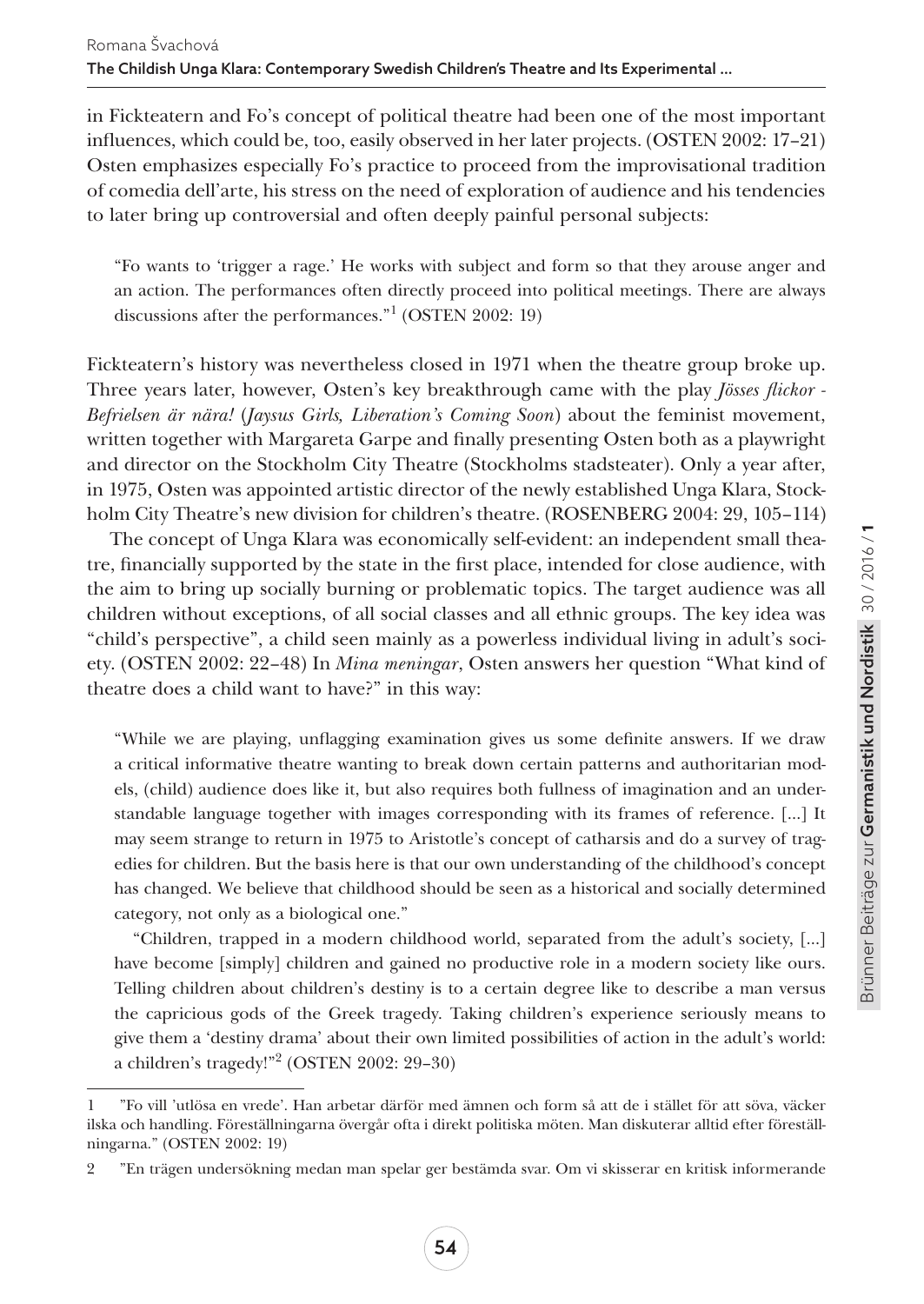in Fickteatern and Fo's concept of political theatre had been one of the most important influences, which could be, too, easily observed in her later projects. (OSTEN 2002: 17–21) Osten emphasizes especially Fo's practice to proceed from the improvisational tradition of comedia dell'arte, his stress on the need of exploration of audience and his tendencies to later bring up controversial and often deeply painful personal subjects:

"Fo wants to 'trigger a rage.' He works with subject and form so that they arouse anger and an action. The performances often directly proceed into political meetings. There are always discussions after the performances."1 (OSTEN 2002: 19)

Fickteatern's history was nevertheless closed in 1971 when the theatre group broke up. Three years later, however, Osten's key breakthrough came with the play *Jösses flickor - Befrielsen är nära!* (*Jaysus Girls, Liberation's Coming Soon*) about the feminist movement, written together with Margareta Garpe and finally presenting Osten both as a playwright and director on the Stockholm City Theatre (Stockholms stadsteater). Only a year after, in 1975, Osten was appointed artistic director of the newly established Unga Klara, Stockholm City Theatre's new division for children's theatre. (ROSENBERG 2004: 29, 105–114)

The concept of Unga Klara was economically self-evident: an independent small theatre, financially supported by the state in the first place, intended for close audience, with the aim to bring up socially burning or problematic topics. The target audience was all children without exceptions, of all social classes and all ethnic groups. The key idea was "child's perspective", a child seen mainly as a powerless individual living in adult's society. (OSTEN 2002: 22–48) In *Mina meningar*, Osten answers her question "What kind of theatre does a child want to have?" in this way:

"While we are playing, unflagging examination gives us some definite answers. If we draw a critical informative theatre wanting to break down certain patterns and authoritarian models, (child) audience does like it, but also requires both fullness of imagination and an understandable language together with images corresponding with its frames of reference. […] It may seem strange to return in 1975 to Aristotle's concept of catharsis and do a survey of tragedies for children. But the basis here is that our own understanding of the childhood's concept has changed. We believe that childhood should be seen as a historical and socially determined category, not only as a biological one."

"Children, trapped in a modern childhood world, separated from the adult's society, […] have become [simply] children and gained no productive role in a modern society like ours. Telling children about children's destiny is to a certain degree like to describe a man versus the capricious gods of the Greek tragedy. Taking children's experience seriously means to give them a 'destiny drama' about their own limited possibilities of action in the adult's world: a children's tragedy!"2 (OSTEN 2002: 29–30)

<sup>1</sup> "Fo vill 'utlösa en vrede'. Han arbetar därför med ämnen och form så att de i stället för att söva, väcker ilska och handling. Föreställningarna övergår ofta i direkt politiska möten. Man diskuterar alltid efter föreställningarna." (OSTEN 2002: 19)

<sup>2</sup> "En trägen undersökning medan man spelar ger bestämda svar. Om vi skisserar en kritisk informerande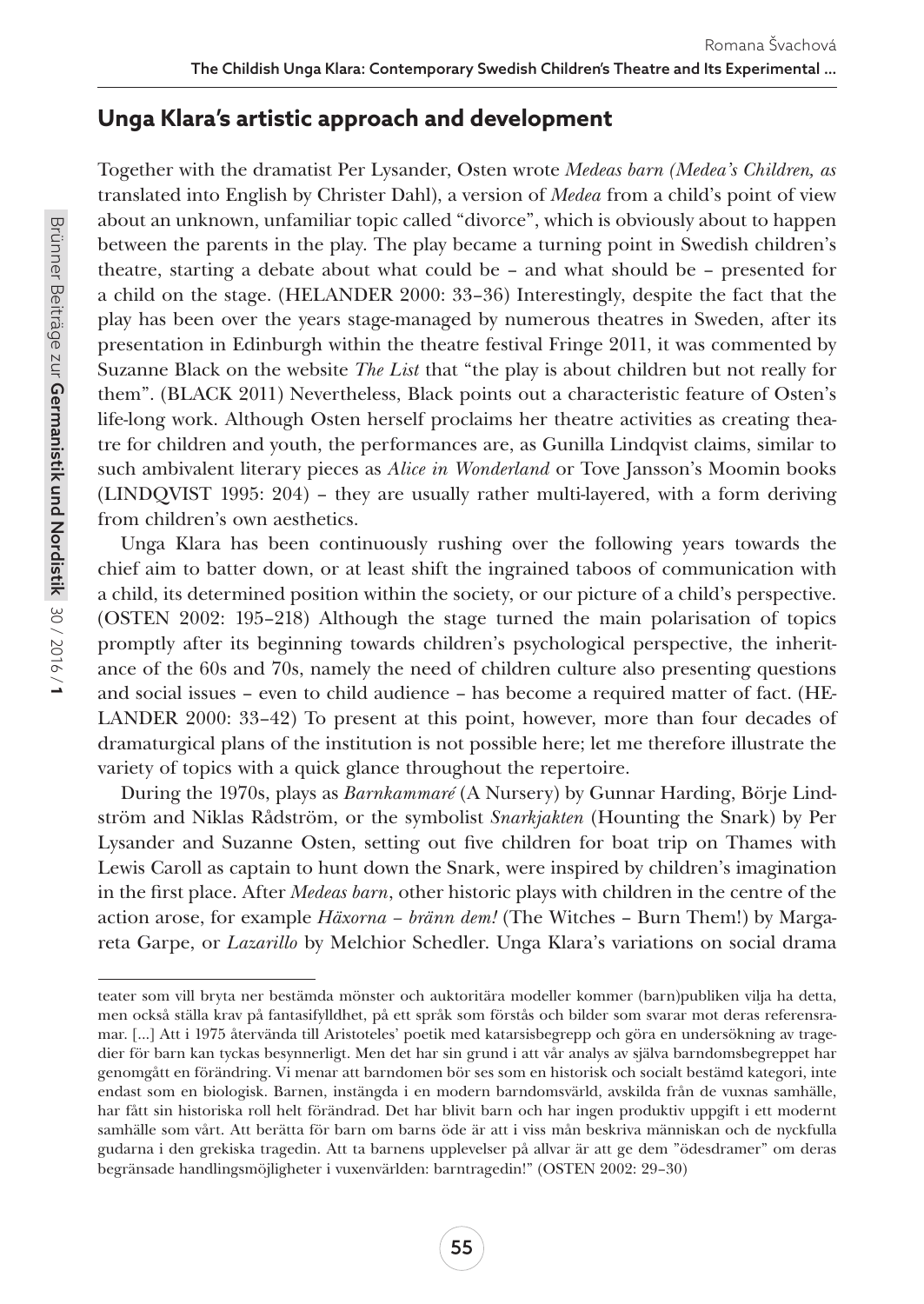## **Unga Klara's artistic approach and development**

Together with the dramatist Per Lysander, Osten wrote *Medeas barn (Medea's Children, as*  translated into English by Christer Dahl), a version of *Medea* from a child's point of view about an unknown, unfamiliar topic called "divorce", which is obviously about to happen between the parents in the play. The play became a turning point in Swedish children's theatre, starting a debate about what could be – and what should be – presented for a child on the stage. (HELANDER 2000: 33–36) Interestingly, despite the fact that the play has been over the years stage-managed by numerous theatres in Sweden, after its presentation in Edinburgh within the theatre festival Fringe 2011, it was commented by Suzanne Black on the website *The List* that "the play is about children but not really for them". (BLACK 2011) Nevertheless, Black points out a characteristic feature of Osten's life-long work. Although Osten herself proclaims her theatre activities as creating theatre for children and youth, the performances are, as Gunilla Lindqvist claims, similar to such ambivalent literary pieces as *Alice in Wonderland* or Tove Jansson's Moomin books (LINDQVIST 1995: 204) – they are usually rather multi-layered, with a form deriving from children's own aesthetics.

Unga Klara has been continuously rushing over the following years towards the chief aim to batter down, or at least shift the ingrained taboos of communication with a child, its determined position within the society, or our picture of a child's perspective. (OSTEN 2002: 195–218) Although the stage turned the main polarisation of topics promptly after its beginning towards children's psychological perspective, the inheritance of the 60s and 70s, namely the need of children culture also presenting questions and social issues – even to child audience – has become a required matter of fact. (HE-LANDER 2000: 33–42) To present at this point, however, more than four decades of dramaturgical plans of the institution is not possible here; let me therefore illustrate the variety of topics with a quick glance throughout the repertoire.

During the 1970s, plays as *Barnkammaré* (A Nursery) by Gunnar Harding, Börje Lindström and Niklas Rådström, or the symbolist *Snarkjakten* (Hounting the Snark) by Per Lysander and Suzanne Osten, setting out five children for boat trip on Thames with Lewis Caroll as captain to hunt down the Snark, were inspired by children's imagination in the first place. After *Medeas barn*, other historic plays with children in the centre of the action arose, for example *Häxorna – bränn dem!* (The Witches – Burn Them!) by Margareta Garpe, or *Lazarillo* by Melchior Schedler. Unga Klara's variations on social drama

teater som vill bryta ner bestämda mönster och auktoritära modeller kommer (barn)publiken vilja ha detta, men också ställa krav på fantasifylldhet, på ett språk som förstås och bilder som svarar mot deras referensramar. [...] Att i 1975 återvända till Aristoteles' poetik med katarsisbegrepp och göra en undersökning av tragedier för barn kan tyckas besynnerligt. Men det har sin grund i att vår analys av själva barndomsbegreppet har genomgått en förändring. Vi menar att barndomen bör ses som en historisk och socialt bestämd kategori, inte endast som en biologisk. Barnen, instängda i en modern barndomsvärld, avskilda från de vuxnas samhälle, har fått sin historiska roll helt förändrad. Det har blivit barn och har ingen produktiv uppgift i ett modernt samhälle som vårt. Att berätta för barn om barns öde är att i viss mån beskriva människan och de nyckfulla gudarna i den grekiska tragedin. Att ta barnens upplevelser på allvar är att ge dem "ödesdramer" om deras begränsade handlingsmöjligheter i vuxenvärlden: barntragedin!" (OSTEN 2002: 29–30)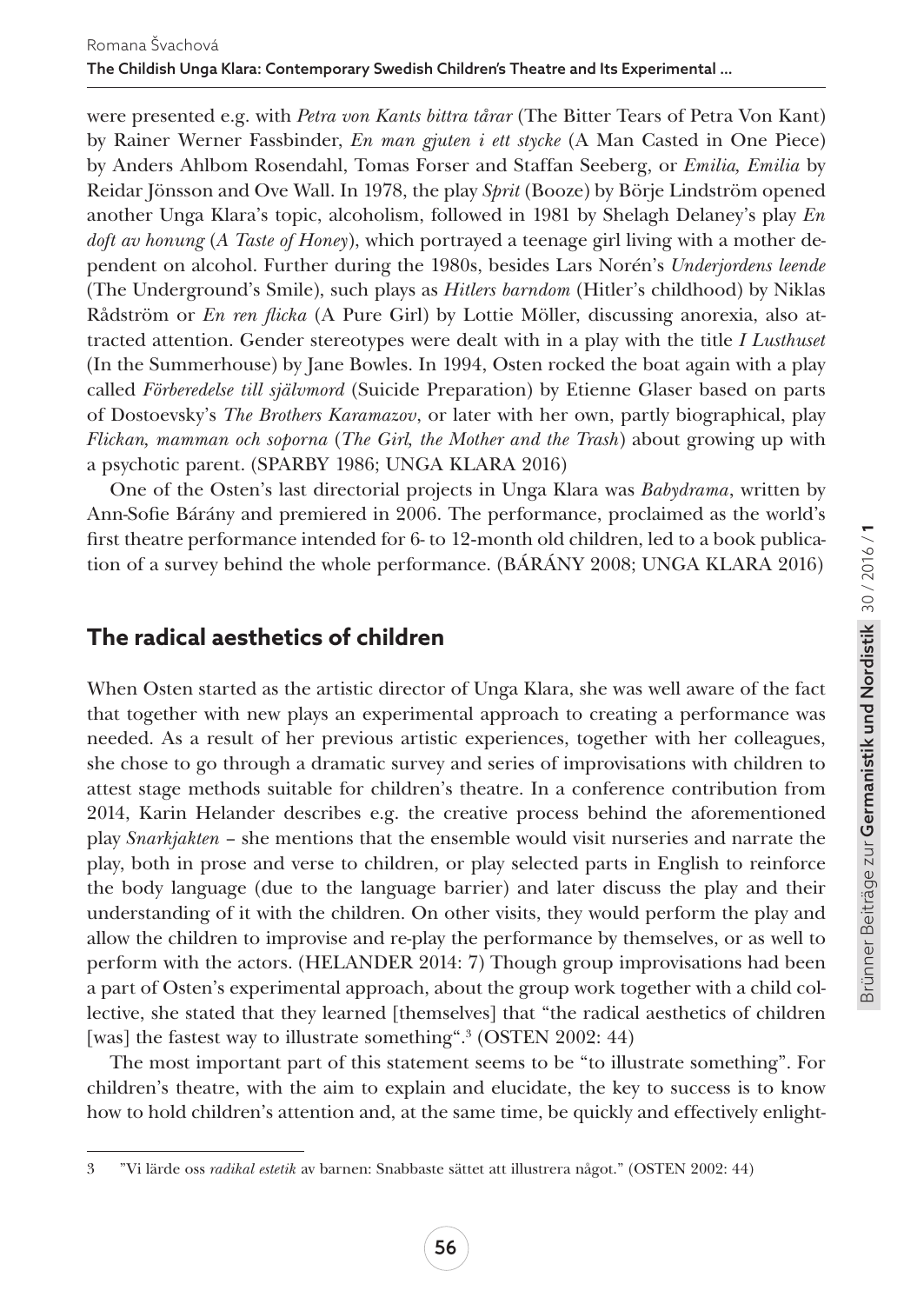were presented e.g. with *Petra von Kants bittra tårar* (The Bitter Tears of Petra Von Kant) by Rainer Werner Fassbinder, *En man gjuten i ett stycke* (A Man Casted in One Piece) by Anders Ahlbom Rosendahl, Tomas Forser and Staffan Seeberg, or *Emilia, Emilia* by Reidar Jönsson and Ove Wall. In 1978, the play *Sprit* (Booze) by Börje Lindström opened another Unga Klara's topic, alcoholism, followed in 1981 by Shelagh Delaney's play *En doft av honung* (*A Taste of Honey*), which portrayed a teenage girl living with a mother dependent on alcohol. Further during the 1980s, besides Lars Norén's *Underjordens leende* (The Underground's Smile), such plays as *Hitlers barndom* (Hitler's childhood) by Niklas Rådström or *En ren flicka* (A Pure Girl) by Lottie Möller, discussing anorexia, also attracted attention. Gender stereotypes were dealt with in a play with the title *I Lusthuset*  (In the Summerhouse) by Jane Bowles. In 1994, Osten rocked the boat again with a play called *Förberedelse till självmord* (Suicide Preparation) by Etienne Glaser based on parts of Dostoevsky's *The Brothers Karamazov*, or later with her own, partly biographical, play *Flickan, mamman och soporna* (*The Girl, the Mother and the Trash*) about growing up with a psychotic parent. (SPARBY 1986; UNGA KLARA 2016)

One of the Osten's last directorial projects in Unga Klara was *Babydrama*, written by Ann-Sofie Bárány and premiered in 2006. The performance, proclaimed as the world's first theatre performance intended for 6- to 12-month old children, led to a book publication of a survey behind the whole performance. (BÁRÁNY 2008; UNGA KLARA 2016)

## **The radical aesthetics of children**

When Osten started as the artistic director of Unga Klara, she was well aware of the fact that together with new plays an experimental approach to creating a performance was needed. As a result of her previous artistic experiences, together with her colleagues, she chose to go through a dramatic survey and series of improvisations with children to attest stage methods suitable for children's theatre. In a conference contribution from 2014, Karin Helander describes e.g. the creative process behind the aforementioned play *Snarkjakten* – she mentions that the ensemble would visit nurseries and narrate the play, both in prose and verse to children, or play selected parts in English to reinforce the body language (due to the language barrier) and later discuss the play and their understanding of it with the children. On other visits, they would perform the play and allow the children to improvise and re-play the performance by themselves, or as well to perform with the actors. (HELANDER 2014: 7) Though group improvisations had been a part of Osten's experimental approach, about the group work together with a child collective, she stated that they learned [themselves] that "the radical aesthetics of children [was] the fastest way to illustrate something".<sup>3</sup> (OSTEN 2002: 44)

The most important part of this statement seems to be "to illustrate something". For children's theatre, with the aim to explain and elucidate, the key to success is to know how to hold children's attention and, at the same time, be quickly and effectively enlight-

<sup>3</sup> "Vi lärde oss *radikal estetik* av barnen: Snabbaste sättet att illustrera något." (OSTEN 2002: 44)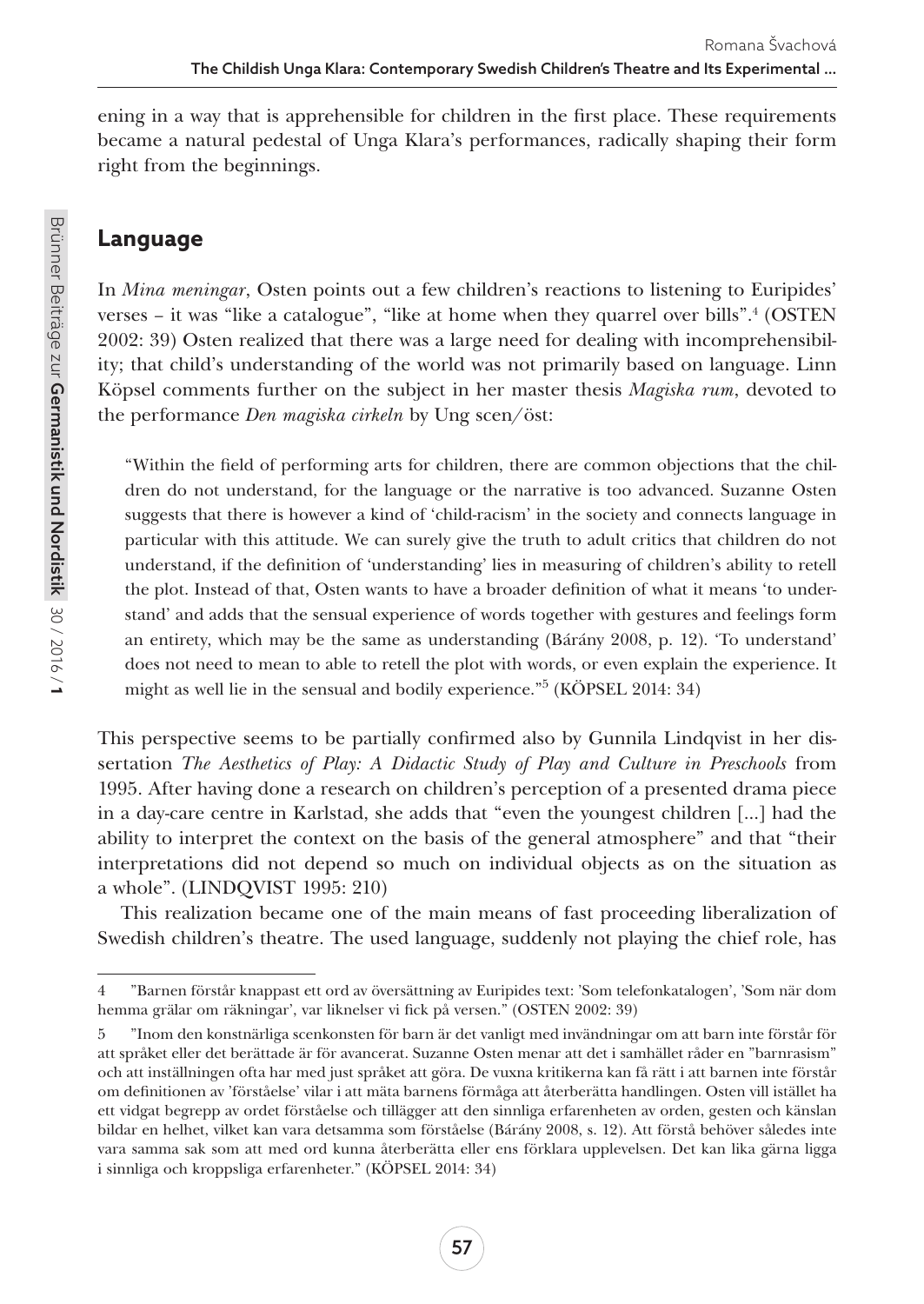ening in a way that is apprehensible for children in the first place. These requirements became a natural pedestal of Unga Klara's performances, radically shaping their form right from the beginnings.

## **Language**

In *Mina meningar*, Osten points out a few children's reactions to listening to Euripides' verses – it was "like a catalogue", "like at home when they quarrel over bills".<sup>4</sup> (OSTEN 2002: 39) Osten realized that there was a large need for dealing with incomprehensibility; that child's understanding of the world was not primarily based on language. Linn Köpsel comments further on the subject in her master thesis *Magiska rum*, devoted to the performance *Den magiska cirkeln* by Ung scen/öst:

"Within the field of performing arts for children, there are common objections that the children do not understand, for the language or the narrative is too advanced. Suzanne Osten suggests that there is however a kind of 'child-racism' in the society and connects language in particular with this attitude. We can surely give the truth to adult critics that children do not understand, if the definition of 'understanding' lies in measuring of children's ability to retell the plot. Instead of that, Osten wants to have a broader definition of what it means 'to understand' and adds that the sensual experience of words together with gestures and feelings form an entirety, which may be the same as understanding (Bárány 2008, p. 12). 'To understand' does not need to mean to able to retell the plot with words, or even explain the experience. It might as well lie in the sensual and bodily experience."5 (KÖPSEL 2014: 34)

This perspective seems to be partially confirmed also by Gunnila Lindqvist in her dissertation *The Aesthetics of Play: A Didactic Study of Play and Culture in Preschools* from 1995. After having done a research on children's perception of a presented drama piece in a day-care centre in Karlstad, she adds that "even the youngest children [...] had the ability to interpret the context on the basis of the general atmosphere" and that "their interpretations did not depend so much on individual objects as on the situation as a whole". (LINDQVIST 1995: 210)

This realization became one of the main means of fast proceeding liberalization of Swedish children's theatre. The used language, suddenly not playing the chief role, has

<sup>4</sup> "Barnen förstår knappast ett ord av översättning av Euripides text: 'Som telefonkatalogen', 'Som när dom hemma grälar om räkningar', var liknelser vi fick på versen." (OSTEN 2002: 39)

<sup>5</sup> "Inom den konstnärliga scenkonsten för barn är det vanligt med invändningar om att barn inte förstår för att språket eller det berättade är för avancerat. Suzanne Osten menar att det i samhället råder en "barnrasism" och att inställningen ofta har med just språket att göra. De vuxna kritikerna kan få rätt i att barnen inte förstår om definitionen av 'förståelse' vilar i att mäta barnens förmåga att återberätta handlingen. Osten vill istället ha ett vidgat begrepp av ordet förståelse och tillägger att den sinnliga erfarenheten av orden, gesten och känslan bildar en helhet, vilket kan vara detsamma som förståelse (Bárány 2008, s. 12). Att förstå behöver således inte vara samma sak som att med ord kunna återberätta eller ens förklara upplevelsen. Det kan lika gärna ligga i sinnliga och kroppsliga erfarenheter." (KÖPSEL 2014: 34)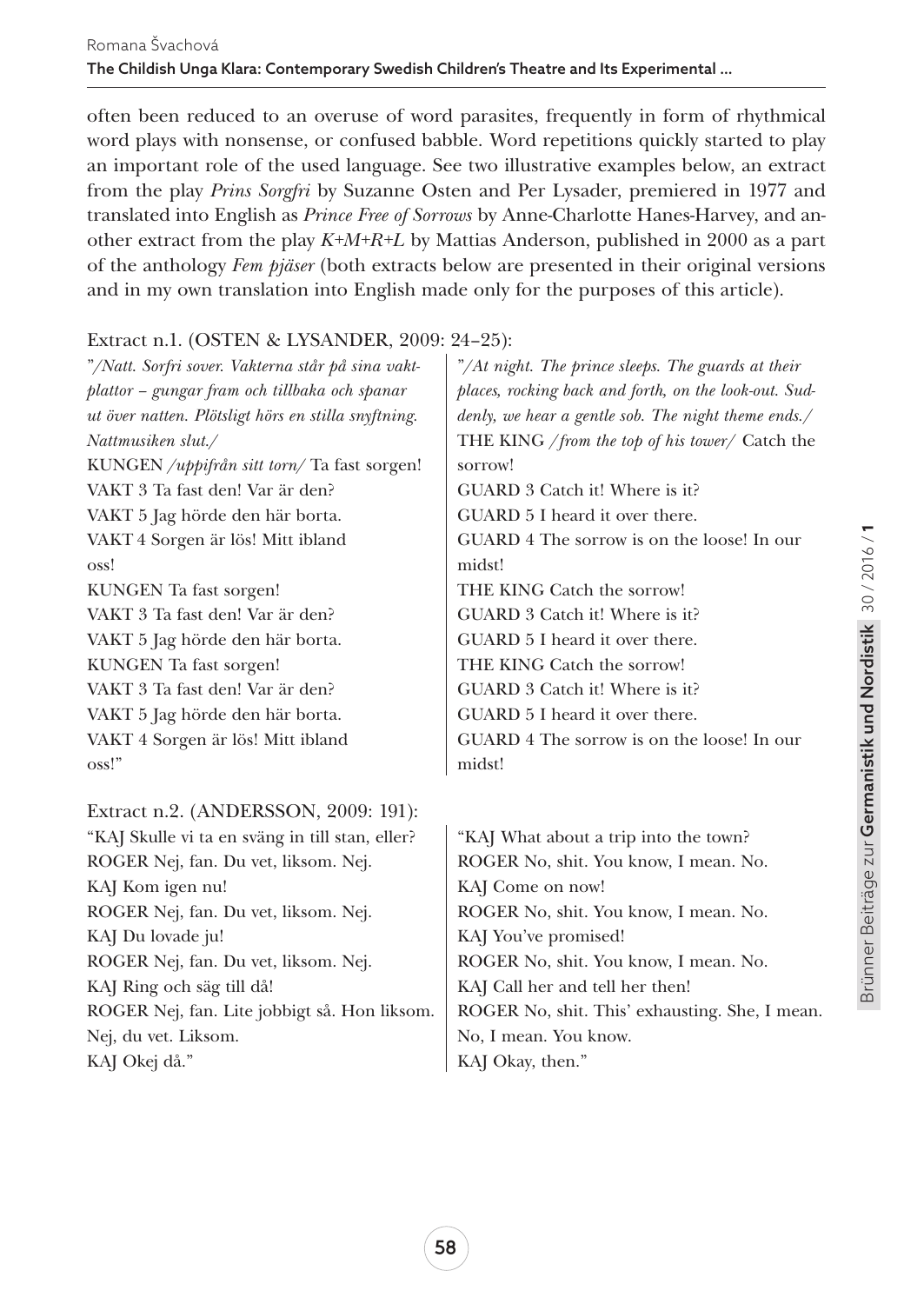often been reduced to an overuse of word parasites, frequently in form of rhythmical word plays with nonsense, or confused babble. Word repetitions quickly started to play an important role of the used language. See two illustrative examples below, an extract from the play *Prins Sorgfri* by Suzanne Osten and Per Lysader, premiered in 1977 and translated into English as *Prince Free of Sorrows* by Anne-Charlotte Hanes-Harvey, and another extract from the play *K+M+R+L* by Mattias Anderson, published in 2000 as a part of the anthology *Fem pjäser* (both extracts below are presented in their original versions and in my own translation into English made only for the purposes of this article).

#### Extract n.1. (OSTEN & LYSANDER, 2009: 24–25):

"*/Natt. Sorfri sover. Vakterna står på sina vaktplattor – gungar fram och tillbaka och spanar ut över natten. Plötsligt hörs en stilla snyftning. Nattmusiken slut./*  KUNGEN */uppifrån sitt torn/* Ta fast sorgen! VAKT 3 Ta fast den! Var är den? VAKT 5 Jag hörde den här borta. VAKT 4 Sorgen är lös! Mitt ibland oss! KUNGEN Ta fast sorgen! VAKT 3 Ta fast den! Var är den? VAKT 5 Jag hörde den här borta. KUNGEN Ta fast sorgen! VAKT 3 Ta fast den! Var är den? VAKT 5 Jag hörde den här borta. VAKT 4 Sorgen är lös! Mitt ibland oss!"

#### Extract n.2. (ANDERSSON, 2009: 191):

"KAJ Skulle vi ta en sväng in till stan, eller? ROGER Nej, fan. Du vet, liksom. Nej. KAJ Kom igen nu! ROGER Nej, fan. Du vet, liksom. Nej. KAJ Du lovade ju! ROGER Nej, fan. Du vet, liksom. Nej. KAJ Ring och säg till då! ROGER Nej, fan. Lite jobbigt så. Hon liksom. Nej, du vet. Liksom. KAJ Okej då."

"*/At night. The prince sleeps. The guards at their places, rocking back and forth, on the look-out. Suddenly, we hear a gentle sob. The night theme ends.*/ THE KING /*from the top of his tower*/ Catch the sorrow!

GUARD 3 Catch it! Where is it?

GUARD 5 I heard it over there.

GUARD 4 The sorrow is on the loose! In our midst!

THE KING Catch the sorrow!

GUARD 3 Catch it! Where is it?

GUARD 5 I heard it over there.

THE KING Catch the sorrow!

GUARD 3 Catch it! Where is it?

GUARD 5 I heard it over there.

GUARD 4 The sorrow is on the loose! In our midst!

"KAJ What about a trip into the town? ROGER No, shit. You know, I mean. No. KAJ Come on now! ROGER No, shit. You know, I mean. No. KAJ You've promised! ROGER No, shit. You know, I mean. No. KAJ Call her and tell her then! ROGER No, shit. This' exhausting. She, I mean. No, I mean. You know. KAJ Okay, then."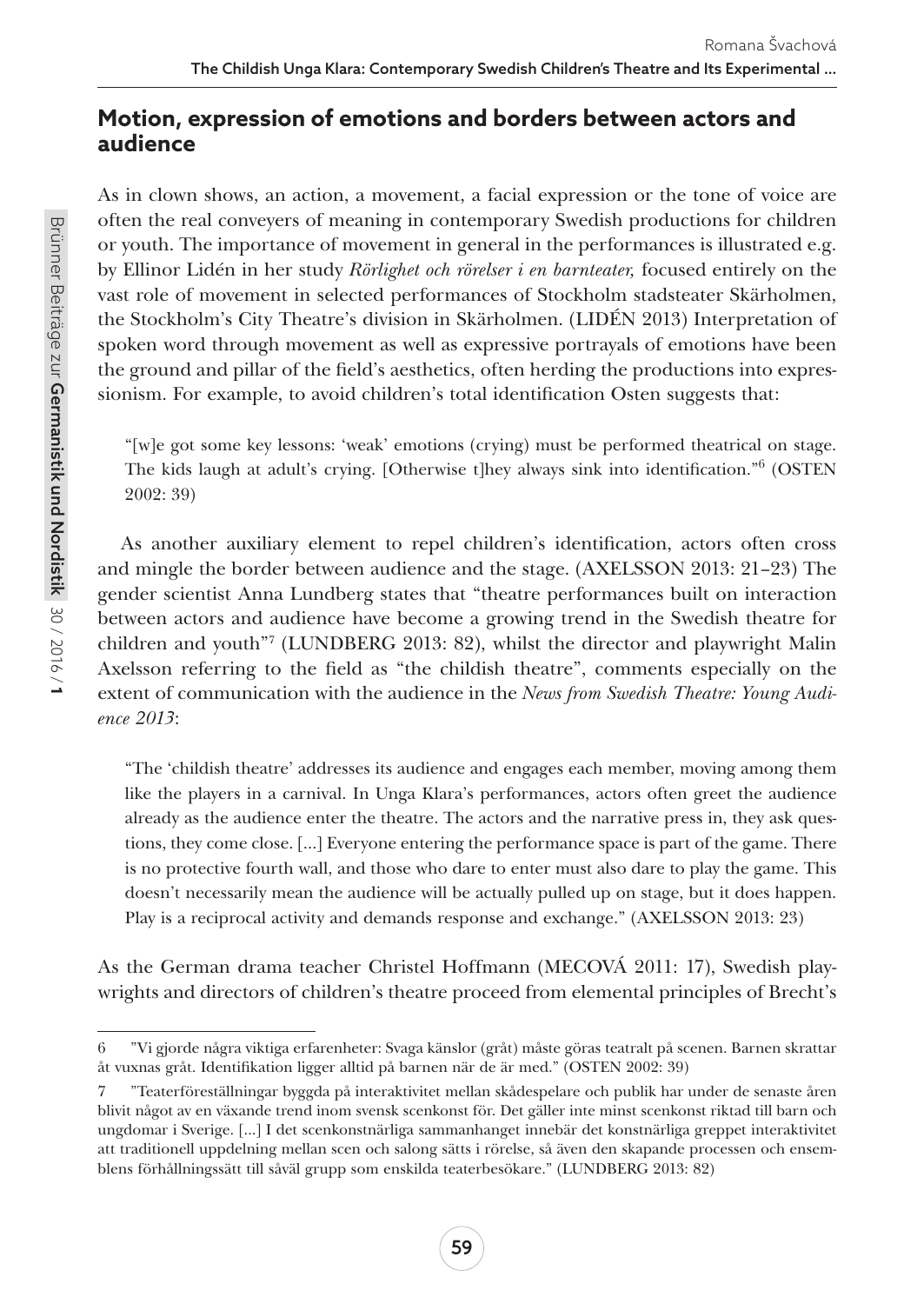## **Motion, expression of emotions and borders between actors and audience**

As in clown shows, an action, a movement, a facial expression or the tone of voice are often the real conveyers of meaning in contemporary Swedish productions for children or youth. The importance of movement in general in the performances is illustrated e.g. by Ellinor Lidén in her study *Rörlighet och rörelser i en barnteater,* focused entirely on the vast role of movement in selected performances of Stockholm stadsteater Skärholmen, the Stockholm's City Theatre's division in Skärholmen. (LIDÉN 2013) Interpretation of spoken word through movement as well as expressive portrayals of emotions have been the ground and pillar of the field's aesthetics, often herding the productions into expressionism. For example, to avoid children's total identification Osten suggests that:

"[w]e got some key lessons: 'weak' emotions (crying) must be performed theatrical on stage. The kids laugh at adult's crying. [Otherwise t]hey always sink into identification."6 (OSTEN 2002: 39)

As another auxiliary element to repel children's identification, actors often cross and mingle the border between audience and the stage. (AXELSSON 2013: 21–23) The gender scientist Anna Lundberg states that "theatre performances built on interaction between actors and audience have become a growing trend in the Swedish theatre for children and youth"7 (LUNDBERG 2013: 82), whilst the director and playwright Malin Axelsson referring to the field as "the childish theatre", comments especially on the extent of communication with the audience in the *News from Swedish Theatre: Young Audience 2013*:

"The 'childish theatre' addresses its audience and engages each member, moving among them like the players in a carnival. In Unga Klara's performances, actors often greet the audience already as the audience enter the theatre. The actors and the narrative press in, they ask questions, they come close. […] Everyone entering the performance space is part of the game. There is no protective fourth wall, and those who dare to enter must also dare to play the game. This doesn't necessarily mean the audience will be actually pulled up on stage, but it does happen. Play is a reciprocal activity and demands response and exchange." (AXELSSON 2013: 23)

As the German drama teacher Christel Hoffmann (MECOVÁ 2011: 17), Swedish playwrights and directors of children's theatre proceed from elemental principles of Brecht's

<sup>6</sup> "Vi gjorde några viktiga erfarenheter: Svaga känslor (gråt) måste göras teatralt på scenen. Barnen skrattar åt vuxnas gråt. Identifikation ligger alltid på barnen när de är med." (OSTEN 2002: 39)

<sup>7</sup> "Teaterföreställningar byggda på interaktivitet mellan skådespelare och publik har under de senaste åren blivit något av en växande trend inom svensk scenkonst för. Det gäller inte minst scenkonst riktad till barn och ungdomar i Sverige. [...] I det scenkonstnärliga sammanhanget innebär det konstnärliga greppet interaktivitet att traditionell uppdelning mellan scen och salong sätts i rörelse, så även den skapande processen och ensemblens förhållningssätt till såväl grupp som enskilda teaterbesökare." (LUNDBERG 2013: 82)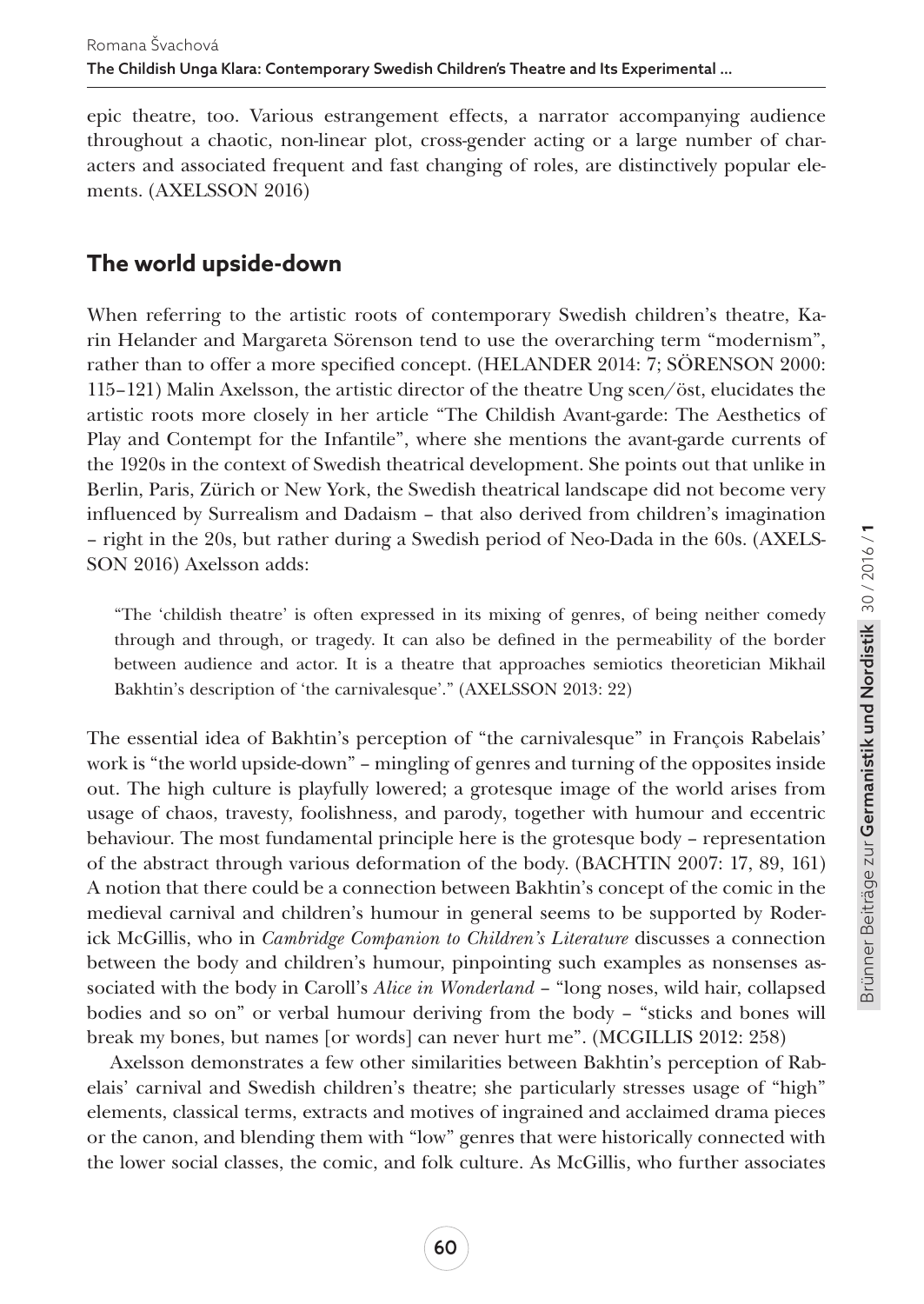epic theatre, too. Various estrangement effects, a narrator accompanying audience throughout a chaotic, non-linear plot, cross-gender acting or a large number of characters and associated frequent and fast changing of roles, are distinctively popular elements. (AXELSSON 2016)

## **The world upside-down**

When referring to the artistic roots of contemporary Swedish children's theatre, Karin Helander and Margareta Sörenson tend to use the overarching term "modernism", rather than to offer a more specified concept. (HELANDER 2014: 7; SÖRENSON 2000: 115–121) Malin Axelsson, the artistic director of the theatre Ung scen/öst, elucidates the artistic roots more closely in her article "The Childish Avant-garde: The Aesthetics of Play and Contempt for the Infantile", where she mentions the avant-garde currents of the 1920s in the context of Swedish theatrical development. She points out that unlike in Berlin, Paris, Zürich or New York, the Swedish theatrical landscape did not become very influenced by Surrealism and Dadaism – that also derived from children's imagination – right in the 20s, but rather during a Swedish period of Neo-Dada in the 60s. (AXELS-SON 2016) Axelsson adds:

"The 'childish theatre' is often expressed in its mixing of genres, of being neither comedy through and through, or tragedy. It can also be defined in the permeability of the border between audience and actor. It is a theatre that approaches semiotics theoretician Mikhail Bakhtin's description of 'the carnivalesque'." (AXELSSON 2013: 22)

The essential idea of Bakhtin's perception of "the carnivalesque" in François Rabelais' work is "the world upside-down" – mingling of genres and turning of the opposites inside out. The high culture is playfully lowered; a grotesque image of the world arises from usage of chaos, travesty, foolishness, and parody, together with humour and eccentric behaviour. The most fundamental principle here is the grotesque body – representation of the abstract through various deformation of the body. (BACHTIN 2007: 17, 89, 161) A notion that there could be a connection between Bakhtin's concept of the comic in the medieval carnival and children's humour in general seems to be supported by Roderick McGillis, who in *Cambridge Companion to Children's Literature* discusses a connection between the body and children's humour, pinpointing such examples as nonsenses associated with the body in Caroll's *Alice in Wonderland* – "long noses, wild hair, collapsed bodies and so on" or verbal humour deriving from the body – "sticks and bones will break my bones, but names [or words] can never hurt me". (MCGILLIS 2012: 258)

Axelsson demonstrates a few other similarities between Bakhtin's perception of Rabelais' carnival and Swedish children's theatre; she particularly stresses usage of "high" elements, classical terms, extracts and motives of ingrained and acclaimed drama pieces or the canon, and blending them with "low" genres that were historically connected with the lower social classes, the comic, and folk culture. As McGillis, who further associates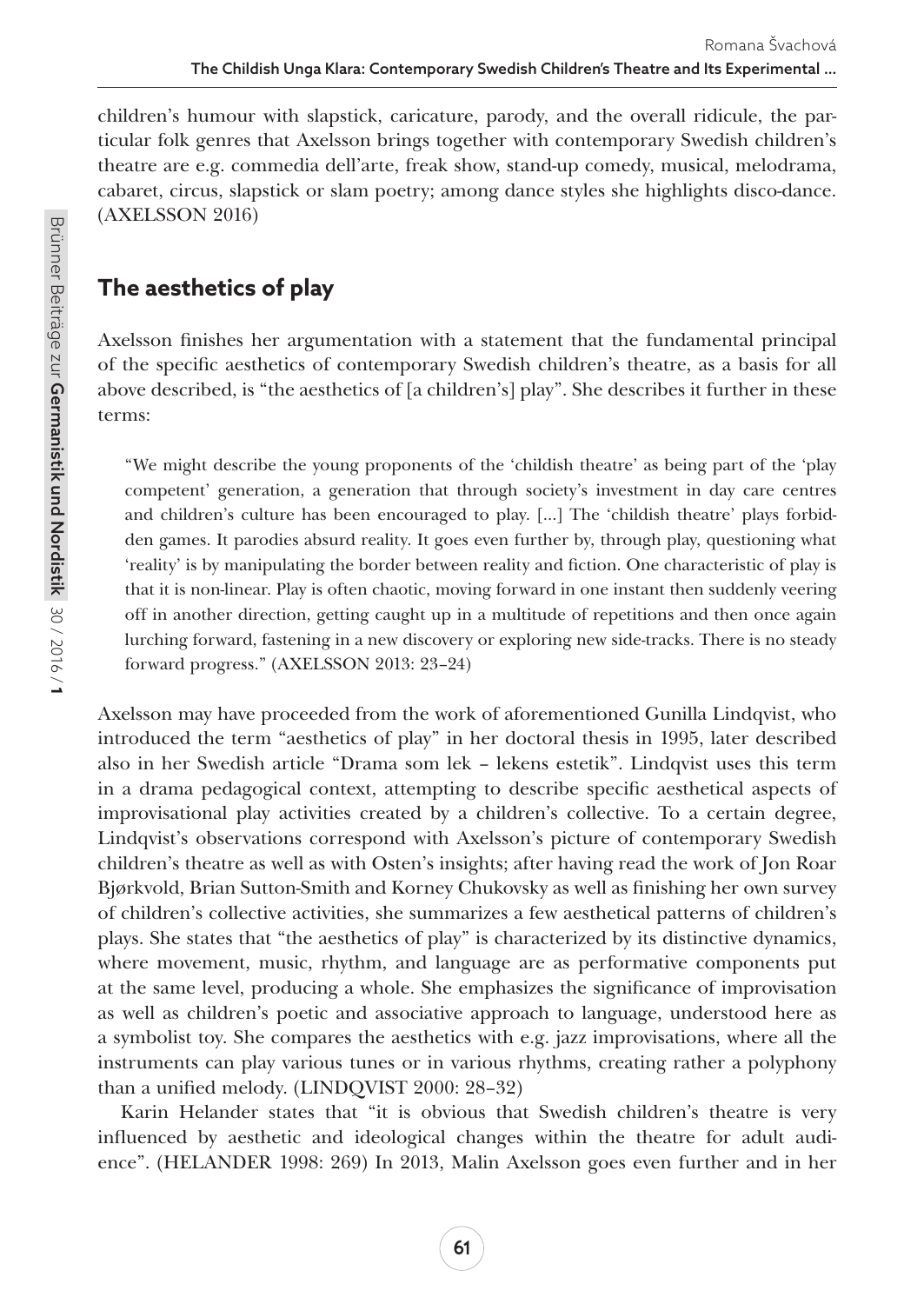children's humour with slapstick, caricature, parody, and the overall ridicule, the particular folk genres that Axelsson brings together with contemporary Swedish children's theatre are e.g. commedia dell'arte, freak show, stand-up comedy, musical, melodrama, cabaret, circus, slapstick or slam poetry; among dance styles she highlights disco-dance. (AXELSSON 2016)

## **The aesthetics of play**

Axelsson finishes her argumentation with a statement that the fundamental principal of the specific aesthetics of contemporary Swedish children's theatre, as a basis for all above described, is "the aesthetics of [a children's] play". She describes it further in these terms:

"We might describe the young proponents of the 'childish theatre' as being part of the 'play competent' generation, a generation that through society's investment in day care centres and children's culture has been encouraged to play. [...] The 'childish theatre' plays forbidden games. It parodies absurd reality. It goes even further by, through play, questioning what 'reality' is by manipulating the border between reality and fiction. One characteristic of play is that it is non-linear. Play is often chaotic, moving forward in one instant then suddenly veering off in another direction, getting caught up in a multitude of repetitions and then once again lurching forward, fastening in a new discovery or exploring new side-tracks. There is no steady forward progress." (AXELSSON 2013: 23–24)

Axelsson may have proceeded from the work of aforementioned Gunilla Lindqvist, who introduced the term "aesthetics of play" in her doctoral thesis in 1995, later described also in her Swedish article "Drama som lek – lekens estetik". Lindqvist uses this term in a drama pedagogical context, attempting to describe specific aesthetical aspects of improvisational play activities created by a children's collective. To a certain degree, Lindqvist's observations correspond with Axelsson's picture of contemporary Swedish children's theatre as well as with Osten's insights; after having read the work of Jon Roar Bjørkvold, Brian Sutton-Smith and Korney Chukovsky as well as finishing her own survey of children's collective activities, she summarizes a few aesthetical patterns of children's plays. She states that "the aesthetics of play" is characterized by its distinctive dynamics, where movement, music, rhythm, and language are as performative components put at the same level, producing a whole. She emphasizes the significance of improvisation as well as children's poetic and associative approach to language, understood here as a symbolist toy. She compares the aesthetics with e.g. jazz improvisations, where all the instruments can play various tunes or in various rhythms, creating rather a polyphony than a unified melody. (LINDQVIST 2000: 28–32)

Karin Helander states that "it is obvious that Swedish children's theatre is very influenced by aesthetic and ideological changes within the theatre for adult audience". (HELANDER 1998: 269) In 2013, Malin Axelsson goes even further and in her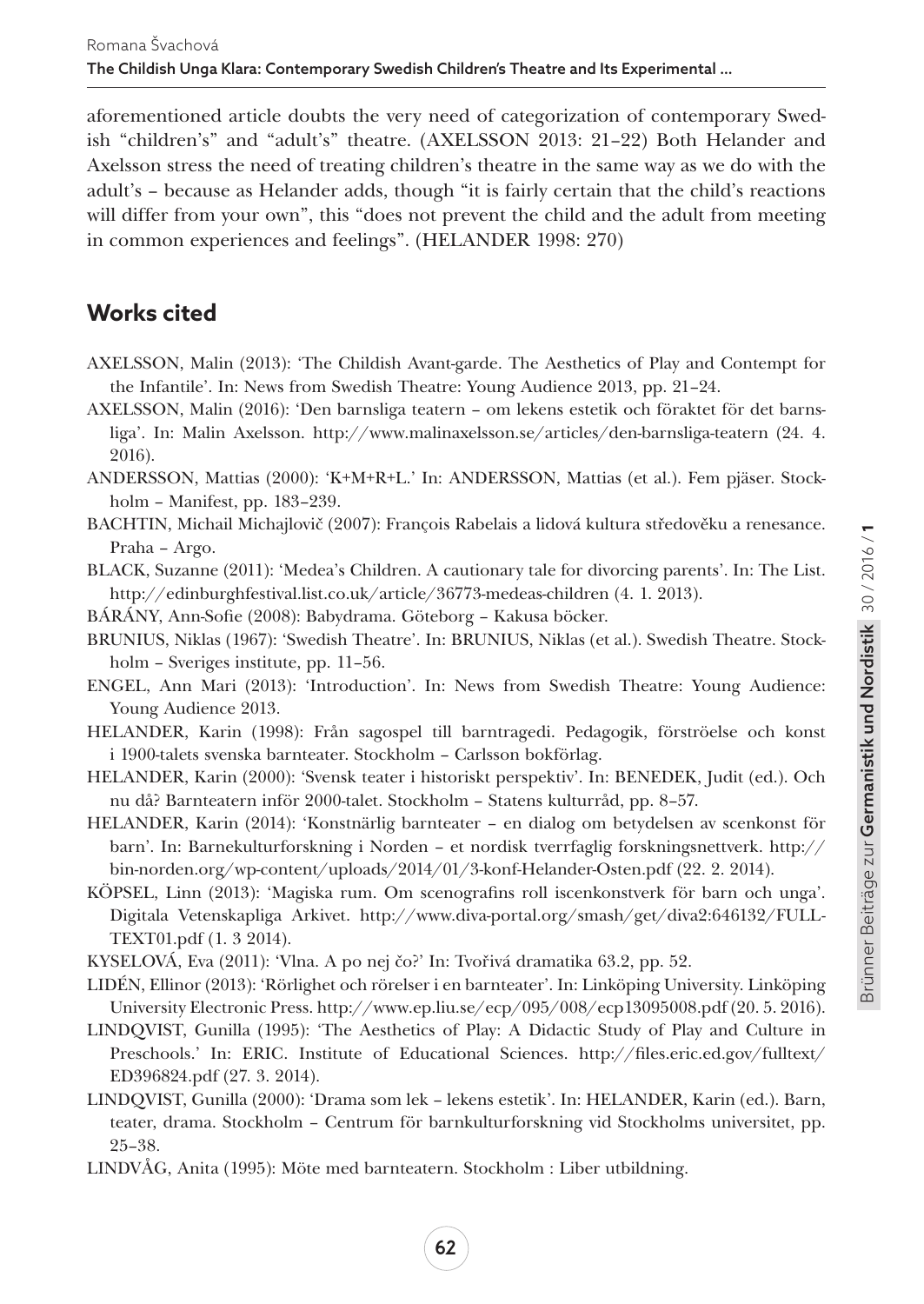aforementioned article doubts the very need of categorization of contemporary Swedish "children's" and "adult's" theatre. (AXELSSON 2013: 21–22) Both Helander and Axelsson stress the need of treating children's theatre in the same way as we do with the adult's – because as Helander adds, though "it is fairly certain that the child's reactions will differ from your own", this "does not prevent the child and the adult from meeting in common experiences and feelings". (HELANDER 1998: 270)

## **Works cited**

- AXELSSON, Malin (2013): 'The Childish Avant-garde. The Aesthetics of Play and Contempt for the Infantile'. In: News from Swedish Theatre: Young Audience 2013, pp. 21–24.
- AXELSSON, Malin (2016): 'Den barnsliga teatern om lekens estetik och föraktet för det barnsliga'. In: Malin Axelsson. http://www.malinaxelsson.se/articles/den-barnsliga-teatern (24. 4. 2016).
- ANDERSSON, Mattias (2000): 'K+M+R+L.' In: ANDERSSON, Mattias (et al.). Fem pjäser. Stockholm – Manifest, pp. 183–239.
- BACHTIN, Michail Michajlovič (2007): François Rabelais a lidová kultura středověku a renesance. Praha – Argo.
- BLACK, Suzanne (2011): 'Medea's Children. A cautionary tale for divorcing parents'. In: The List. http://edinburghfestival.list.co.uk/article/36773-medeas-children (4. 1. 2013).
- BÁRÁNY, Ann-Sofie (2008): Babydrama. Göteborg Kakusa böcker.
- BRUNIUS, Niklas (1967): 'Swedish Theatre'. In: BRUNIUS, Niklas (et al.). Swedish Theatre. Stockholm – Sveriges institute, pp. 11–56.
- ENGEL, Ann Mari (2013): 'Introduction'. In: News from Swedish Theatre: Young Audience: Young Audience 2013.
- HELANDER, Karin (1998): Från sagospel till barntragedi. Pedagogik, förströelse och konst i 1900-talets svenska barnteater. Stockholm – Carlsson bokförlag.
- HELANDER, Karin (2000): 'Svensk teater i historiskt perspektiv'. In: BENEDEK, Judit (ed.). Och nu då? Barnteatern inför 2000-talet. Stockholm – Statens kulturråd, pp. 8–57.
- HELANDER, Karin (2014): 'Konstnärlig barnteater en dialog om betydelsen av scenkonst för barn'. In: Barnekulturforskning i Norden – et nordisk tverrfaglig forskningsnettverk. http:// bin-norden.org/wp-content/uploads/2014/01/3-konf-Helander-Osten.pdf (22. 2. 2014).
- KÖPSEL, Linn (2013): 'Magiska rum. Om scenografins roll iscenkonstverk för barn och unga'. Digitala Vetenskapliga Arkivet. http://www.diva-portal.org/smash/get/diva2:646132/FULL-TEXT01.pdf (1. 3 2014).
- KYSELOVÁ, Eva (2011): 'Vlna. A po nej čo?' In: Tvořivá dramatika 63.2, pp. 52.
- LIDÉN, Ellinor (2013): 'Rörlighet och rörelser i en barnteater'. In: Linköping University. Linköping University Electronic Press. http://www.ep.liu.se/ecp/095/008/ecp13095008.pdf (20. 5. 2016).
- LINDQVIST, Gunilla (1995): 'The Aesthetics of Play: A Didactic Study of Play and Culture in Preschools.' In: ERIC. Institute of Educational Sciences. http://files.eric.ed.gov/fulltext/ ED396824.pdf (27. 3. 2014).
- LINDQVIST, Gunilla (2000): 'Drama som lek lekens estetik'. In: HELANDER, Karin (ed.). Barn, teater, drama. Stockholm – Centrum för barnkulturforskning vid Stockholms universitet, pp. 25–38.
- LINDVÅG, Anita (1995): Möte med barnteatern. Stockholm : Liber utbildning.